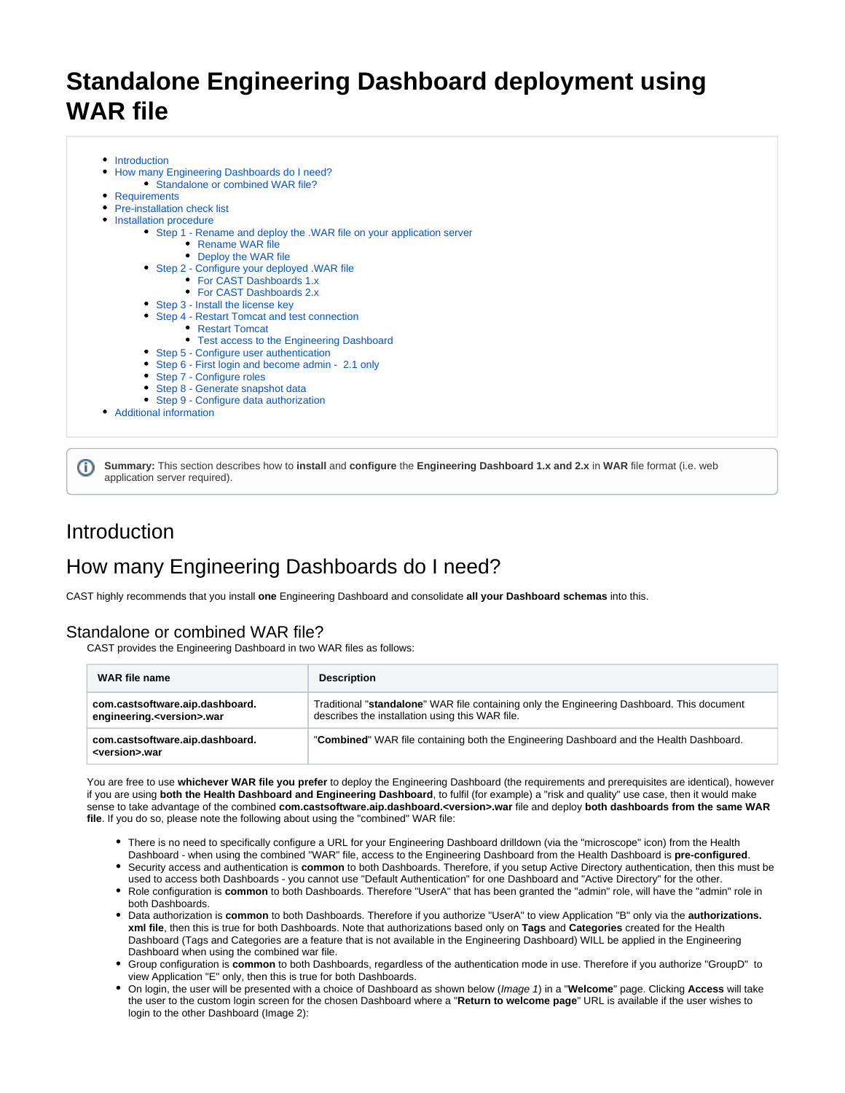# **Standalone Engineering Dashboard deployment using WAR file**

- **[Introduction](#page-0-0)**
- [How many Engineering Dashboards do I need?](#page-0-1)
	- [Standalone or combined WAR file?](#page-0-2)
- [Requirements](#page-1-0)
- [Pre-installation check list](#page-1-1)
- [Installation procedure](#page-1-2)
	- [Step 1 Rename and deploy the .WAR file on your application server](#page-2-0)
		- [Rename WAR file](#page-2-1)
		- [Deploy the WAR file](#page-2-2)
	- [Step 2 Configure your deployed .WAR file](#page-3-0)
		- [For CAST Dashboards 1.x](#page-3-1)
		- [For CAST Dashboards 2.x](#page-5-0)
	- [Step 3 Install the license key](#page-9-0)
	- [Step 4 Restart Tomcat and test connection](#page-9-1)
		- [Restart Tomcat](#page-9-2)
		- [Test access to the Engineering Dashboard](#page-9-3)
	- [Step 5 Configure user authentication](#page-9-4)
	- [Step 6 First login and become admin 2.1 only](#page-10-0)
	- [Step 7 Configure roles](#page-10-1)
	- [Step 8 Generate snapshot data](#page-10-2)
	- [Step 9 Configure data authorization](#page-10-3)
- [Additional information](#page-10-4)

**Summary:** This section describes how to **install** and **configure** the **Engineering Dashboard 1.x and 2.x** in **WAR** file format (i.e. web (i) application server required).

# <span id="page-0-0"></span>Introduction

# <span id="page-0-1"></span>How many Engineering Dashboards do I need?

CAST highly recommends that you install **one** Engineering Dashboard and consolidate **all your Dashboard schemas** into this.

## <span id="page-0-2"></span>Standalone or combined WAR file?

CAST provides the Engineering Dashboard in two WAR files as follows:

| WAR file name                                                           | <b>Description</b>                                                                                                                            |
|-------------------------------------------------------------------------|-----------------------------------------------------------------------------------------------------------------------------------------------|
| com.castsoftware.aip.dashboard.<br>engineering. <version>.war</version> | Traditional "standalone" WAR file containing only the Engineering Dashboard. This document<br>describes the installation using this WAR file. |
| com.castsoftware.aip.dashboard.<br><version>.war</version>              | "Combined" WAR file containing both the Engineering Dashboard and the Health Dashboard.                                                       |

You are free to use **whichever WAR file you prefer** to deploy the Engineering Dashboard (the requirements and prerequisites are identical), however if you are using **both the Health Dashboard and Engineering Dashboard**, to fulfil (for example) a "risk and quality" use case, then it would make sense to take advantage of the combined **com.castsoftware.aip.dashboard.<version>.war** file and deploy **both dashboards from the same WAR file**. If you do so, please note the following about using the "combined" WAR file:

- There is no need to specifically configure a URL for your Engineering Dashboard drilldown (via the "microscope" icon) from the Health Dashboard - when using the combined "WAR" file, access to the Engineering Dashboard from the Health Dashboard is **pre-configured**.
- Security access and authentication is **common** to both Dashboards. Therefore, if you setup Active Directory authentication, then this must be used to access both Dashboards - you cannot use "Default Authentication" for one Dashboard and "Active Directory" for the other.
- Role configuration is **common** to both Dashboards. Therefore "UserA" that has been granted the "admin" role, will have the "admin" role in both Dashboards.
- Data authorization is **common** to both Dashboards. Therefore if you authorize "UserA" to view Application "B" only via the **authorizations. xml file**, then this is true for both Dashboards. Note that authorizations based only on **Tags** and **Categories** created for the Health Dashboard (Tags and Categories are a feature that is not available in the Engineering Dashboard) WILL be applied in the Engineering Dashboard when using the combined war file.
- Group configuration is **common** to both Dashboards, regardless of the authentication mode in use. Therefore if you authorize "GroupD" to view Application "E" only, then this is true for both Dashboards.
- On login, the user will be presented with a choice of Dashboard as shown below (Image 1) in a "**Welcome**" page. Clicking **Access** will take the user to the custom login screen for the chosen Dashboard where a "**Return to welcome page**" URL is available if the user wishes to login to the other Dashboard (Image 2):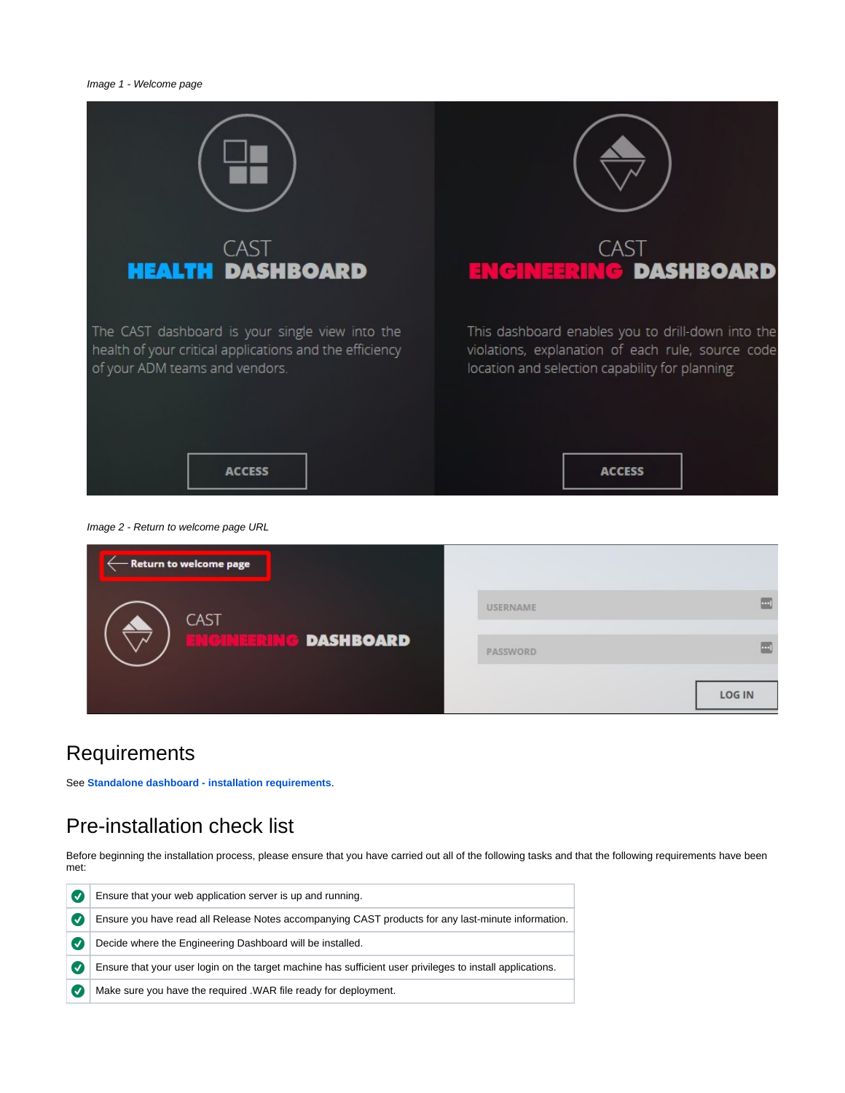

Image 2 - Return to welcome page URL

| – Return to welcome page |                 |                |
|--------------------------|-----------------|----------------|
| <b>CAST</b>              | <b>USERNAME</b> | $\blacksquare$ |
| <b>DASHBOARD</b>         | PASSWORD        | $\Box$         |
|                          |                 | <b>LOG IN</b>  |

# <span id="page-1-0"></span>**Requirements**

See **[Standalone dashboard - installation requirements](https://doc.castsoftware.com/display/DASHBOARDS/Standalone+dashboard+-+installation+requirements)**.

# <span id="page-1-1"></span>Pre-installation check list

Before beginning the installation process, please ensure that you have carried out all of the following tasks and that the following requirements have been met:

<span id="page-1-2"></span>

| $\boldsymbol{J}$ | Ensure that your web application server is up and running.                                                |  |  |
|------------------|-----------------------------------------------------------------------------------------------------------|--|--|
| $\boldsymbol{J}$ | Ensure you have read all Release Notes accompanying CAST products for any last-minute information.        |  |  |
| $\boldsymbol{v}$ | Decide where the Engineering Dashboard will be installed.                                                 |  |  |
| Ø                | Ensure that your user login on the target machine has sufficient user privileges to install applications. |  |  |
| $\overline{v}$   | Make sure you have the required . WAR file ready for deployment.                                          |  |  |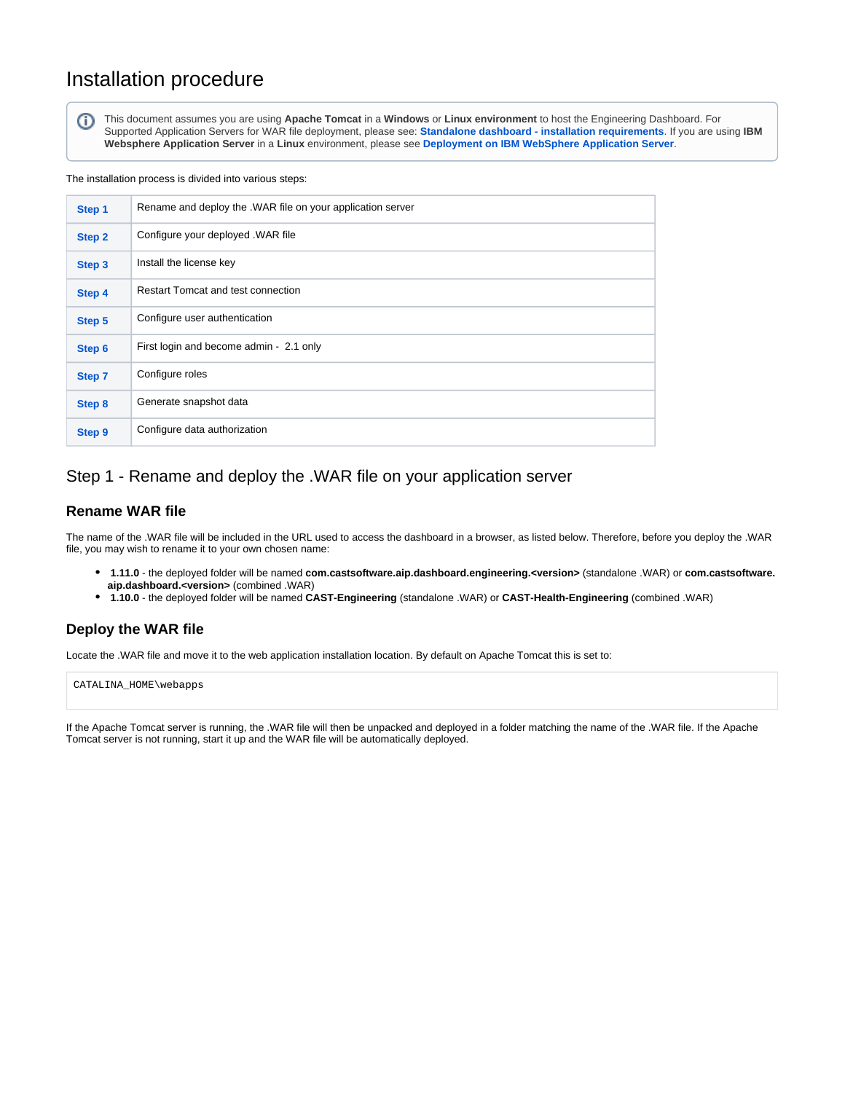# Installation procedure

⋒

This document assumes you are using **Apache Tomcat** in a **Windows** or **Linux environment** to host the Engineering Dashboard. For Supported Application Servers for WAR file deployment, please see: **[Standalone dashboard - installation requirements](https://doc.castsoftware.com/display/DASHBOARDS/Standalone+dashboard+-+installation+requirements)**. If you are using **IBM Websphere Application Server** in a **Linux** environment, please see **[Deployment on IBM WebSphere Application Server](https://doc.castsoftware.com/display/DASHBOARDS/Deployment+on+IBM+WebSphere+Application+Server)**.

The installation process is divided into various steps:

| Step 1 | Rename and deploy the .WAR file on your application server |  |
|--------|------------------------------------------------------------|--|
| Step 2 | Configure your deployed . WAR file                         |  |
| Step 3 | Install the license key                                    |  |
| Step 4 | <b>Restart Tomcat and test connection</b>                  |  |
| Step 5 | Configure user authentication                              |  |
| Step 6 | First login and become admin - 2.1 only                    |  |
| Step 7 | Configure roles                                            |  |
| Step 8 | Generate snapshot data                                     |  |
| Step 9 | Configure data authorization                               |  |

# <span id="page-2-0"></span>Step 1 - Rename and deploy the .WAR file on your application server

### <span id="page-2-1"></span>**Rename WAR file**

The name of the .WAR file will be included in the URL used to access the dashboard in a browser, as listed below. Therefore, before you deploy the .WAR file, you may wish to rename it to your own chosen name:

- **1.11.0** the deployed folder will be named **com.castsoftware.aip.dashboard.engineering.<version>** (standalone .WAR) or **com.castsoftware. aip.dashboard.<version>** (combined .WAR)
- **1.10.0** the deployed folder will be named **CAST-Engineering** (standalone .WAR) or **CAST-Health-Engineering** (combined .WAR)

## <span id="page-2-2"></span>**Deploy the WAR file**

Locate the .WAR file and move it to the web application installation location. By default on Apache Tomcat this is set to:

CATALINA\_HOME\webapps

If the Apache Tomcat server is running, the .WAR file will then be unpacked and deployed in a folder matching the name of the .WAR file. If the Apache Tomcat server is not running, start it up and the WAR file will be automatically deployed.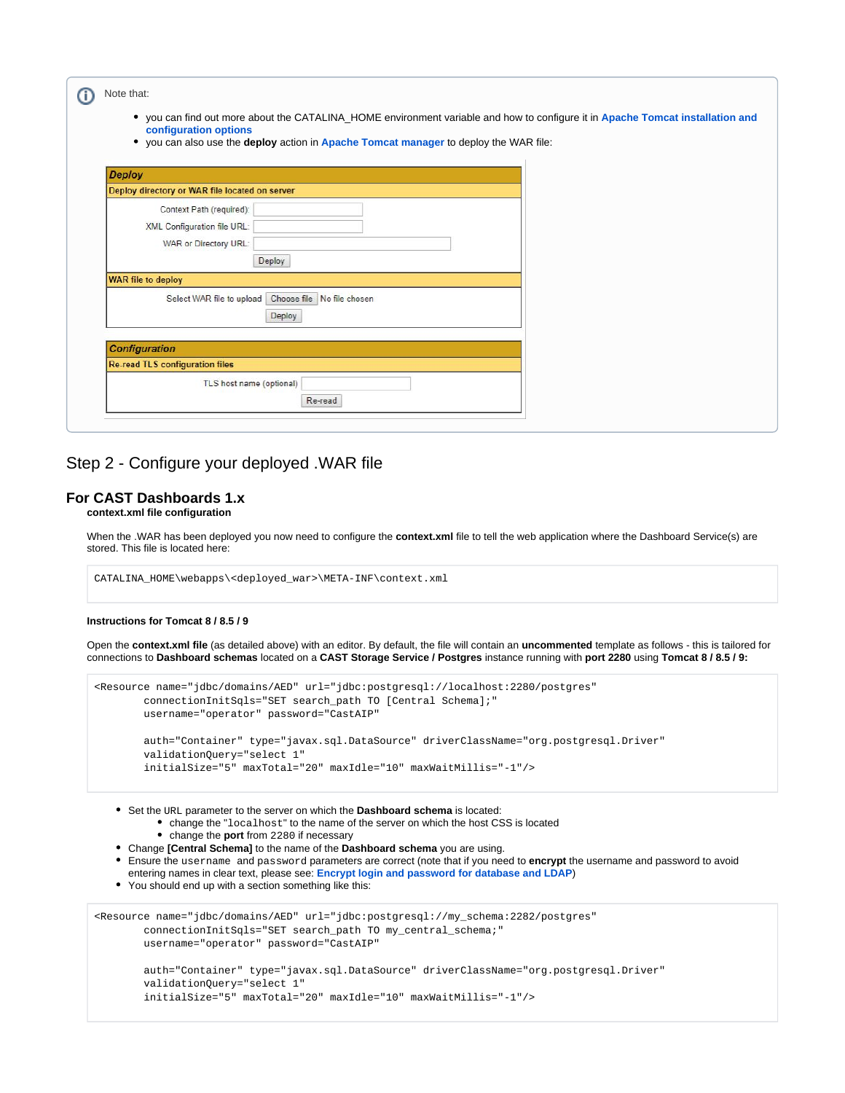| Note that:<br>$\bullet$<br>configuration options                                 | you can find out more about the CATALINA_HOME environment variable and how to configure it in Apache Tomcat installation and<br>• you can also use the deploy action in Apache Tomcat manager to deploy the WAR file: |  |
|----------------------------------------------------------------------------------|-----------------------------------------------------------------------------------------------------------------------------------------------------------------------------------------------------------------------|--|
| <b>Deploy</b>                                                                    |                                                                                                                                                                                                                       |  |
| Deploy directory or WAR file located on server                                   |                                                                                                                                                                                                                       |  |
| Context Path (required):<br>XML Configuration file URL:<br>WAR or Directory URL: | Deploy                                                                                                                                                                                                                |  |
| <b>WAR file to deploy</b>                                                        |                                                                                                                                                                                                                       |  |
|                                                                                  | Select WAR file to upload Choose file No file chosen<br>Deploy                                                                                                                                                        |  |
| <b>Configuration</b>                                                             |                                                                                                                                                                                                                       |  |
| <b>Re-read TLS configuration files</b>                                           |                                                                                                                                                                                                                       |  |
|                                                                                  | TLS host name (optional)<br>Re-read                                                                                                                                                                                   |  |

## <span id="page-3-0"></span>Step 2 - Configure your deployed .WAR file

### <span id="page-3-1"></span>**For CAST Dashboards 1.x**

**context.xml file configuration**

When the .WAR has been deployed you now need to configure the **context.xml** file to tell the web application where the Dashboard Service(s) are stored. This file is located here:

CATALINA\_HOME\webapps\<deployed\_war>\META-INF\context.xml

### **Instructions for Tomcat 8 / 8.5 / 9**

Open the **context.xml file** (as detailed above) with an editor. By default, the file will contain an **uncommented** template as follows - this is tailored for connections to **Dashboard schemas** located on a **CAST Storage Service / Postgres** instance running with **port 2280** using **Tomcat 8 / 8.5 / 9:**

```
<Resource name="jdbc/domains/AED" url="jdbc:postgresql://localhost:2280/postgres"
         connectionInitSqls="SET search_path TO [Central Schema];"
         username="operator" password="CastAIP"
         auth="Container" type="javax.sql.DataSource" driverClassName="org.postgresql.Driver"
         validationQuery="select 1"
         initialSize="5" maxTotal="20" maxIdle="10" maxWaitMillis="-1"/>
```
Set the URL parameter to the server on which the **Dashboard schema** is located:

- change the "localhost" to the name of the server on which the host CSS is located
- change the **port** from 2280 if necessary
- Change **[Central Schema]** to the name of the **Dashboard schema** you are using.
- Ensure the username and password parameters are correct (note that if you need to **encrypt** the username and password to avoid
- entering names in clear text, please see: **[Encrypt login and password for database and LDAP](https://doc.castsoftware.com/display/DASHBOARDS/Encrypt+login+and+password+for+database+and+LDAP)**) • You should end up with a section something like this:

```
<Resource name="jdbc/domains/AED" url="jdbc:postgresql://my_schema:2282/postgres"
        connectionInitSqls="SET search_path TO my_central_schema;"
        username="operator" password="CastAIP"
        auth="Container" type="javax.sql.DataSource" driverClassName="org.postgresql.Driver"
         validationQuery="select 1"
```

```
 initialSize="5" maxTotal="20" maxIdle="10" maxWaitMillis="-1"/>
```
Δ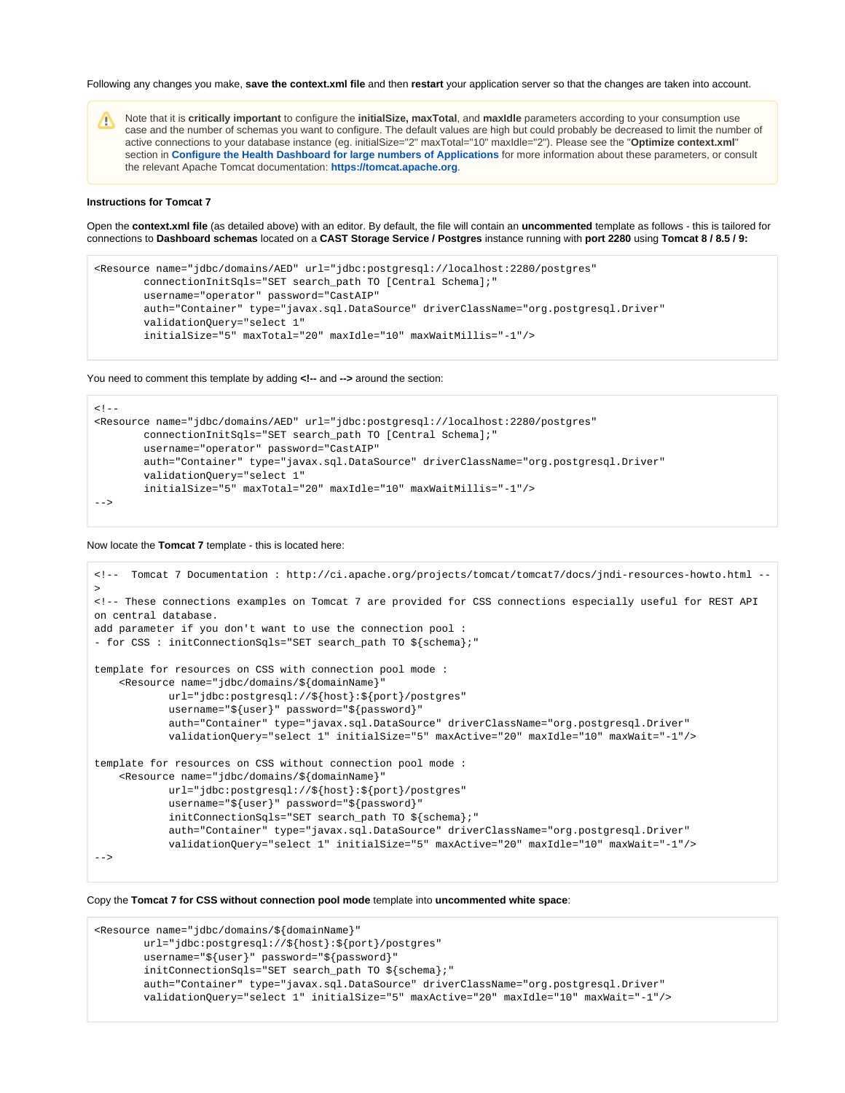Following any changes you make, **save the context.xml file** and then **restart** your application server so that the changes are taken into account.

Note that it is **critically important** to configure the **initialSize, maxTotal**, and **maxIdle** parameters according to your consumption use case and the number of schemas you want to configure. The default values are high but could probably be decreased to limit the number of active connections to your database instance (eg. initialSize="2" maxTotal="10" maxIdle="2"). Please see the "**Optimize context.xml**" section in **[Configure the Health Dashboard for large numbers of Applications](https://doc.castsoftware.com/display/DASHBOARDS/Configure+the+Health+Dashboard+for+large+numbers+of+Applications)** for more information about these parameters, or consult the relevant Apache Tomcat documentation: **<https://tomcat.apache.org>**.

### **Instructions for Tomcat 7**

Open the **context.xml file** (as detailed above) with an editor. By default, the file will contain an **uncommented** template as follows - this is tailored for connections to **Dashboard schemas** located on a **CAST Storage Service / Postgres** instance running with **port 2280** using **Tomcat 8 / 8.5 / 9:**

```
<Resource name="jdbc/domains/AED" url="jdbc:postgresql://localhost:2280/postgres"
         connectionInitSqls="SET search_path TO [Central Schema];"
        username="operator" password="CastAIP"
        auth="Container" type="javax.sql.DataSource" driverClassName="org.postgresql.Driver"
        validationQuery="select 1"
         initialSize="5" maxTotal="20" maxIdle="10" maxWaitMillis="-1"/>
```
You need to comment this template by adding **<!--** and **-->** around the section:

```
< 1 - -<Resource name="jdbc/domains/AED" url="jdbc:postgresql://localhost:2280/postgres"
         connectionInitSqls="SET search_path TO [Central Schema];"
        username="operator" password="CastAIP"
        auth="Container" type="javax.sql.DataSource" driverClassName="org.postgresql.Driver"
        validationQuery="select 1"
        initialSize="5" maxTotal="20" maxIdle="10" maxWaitMillis="-1"/>
-->
```
Now locate the **Tomcat 7** template - this is located here:

```
<!-- Tomcat 7 Documentation : http://ci.apache.org/projects/tomcat/tomcat7/docs/jndi-resources-howto.html --
>
<!-- These connections examples on Tomcat 7 are provided for CSS connections especially useful for REST API 
on central database.
add parameter if you don't want to use the connection pool :
- for CSS : initConnectionSqls="SET search_path TO ${schema};"
template for resources on CSS with connection pool mode :
     <Resource name="jdbc/domains/${domainName}"
            url="jdbc:postgresql://${host}:${port}/postgres"
             username="${user}" password="${password}"
             auth="Container" type="javax.sql.DataSource" driverClassName="org.postgresql.Driver"
             validationQuery="select 1" initialSize="5" maxActive="20" maxIdle="10" maxWait="-1"/>
template for resources on CSS without connection pool mode :
     <Resource name="jdbc/domains/${domainName}"
            url="jdbc:postgresql://${host}:${port}/postgres"
             username="${user}" password="${password}"
             initConnectionSqls="SET search_path TO ${schema};"
             auth="Container" type="javax.sql.DataSource" driverClassName="org.postgresql.Driver"
             validationQuery="select 1" initialSize="5" maxActive="20" maxIdle="10" maxWait="-1"/>
-->
```
Copy the **Tomcat 7 for CSS without connection pool mode** template into **uncommented white space**:

```
<Resource name="jdbc/domains/${domainName}"
        url="jdbc:postgresql://${host}:${port}/postgres"
        username="${user}" password="${password}"
         initConnectionSqls="SET search_path TO ${schema};"
         auth="Container" type="javax.sql.DataSource" driverClassName="org.postgresql.Driver"
         validationQuery="select 1" initialSize="5" maxActive="20" maxIdle="10" maxWait="-1"/>
```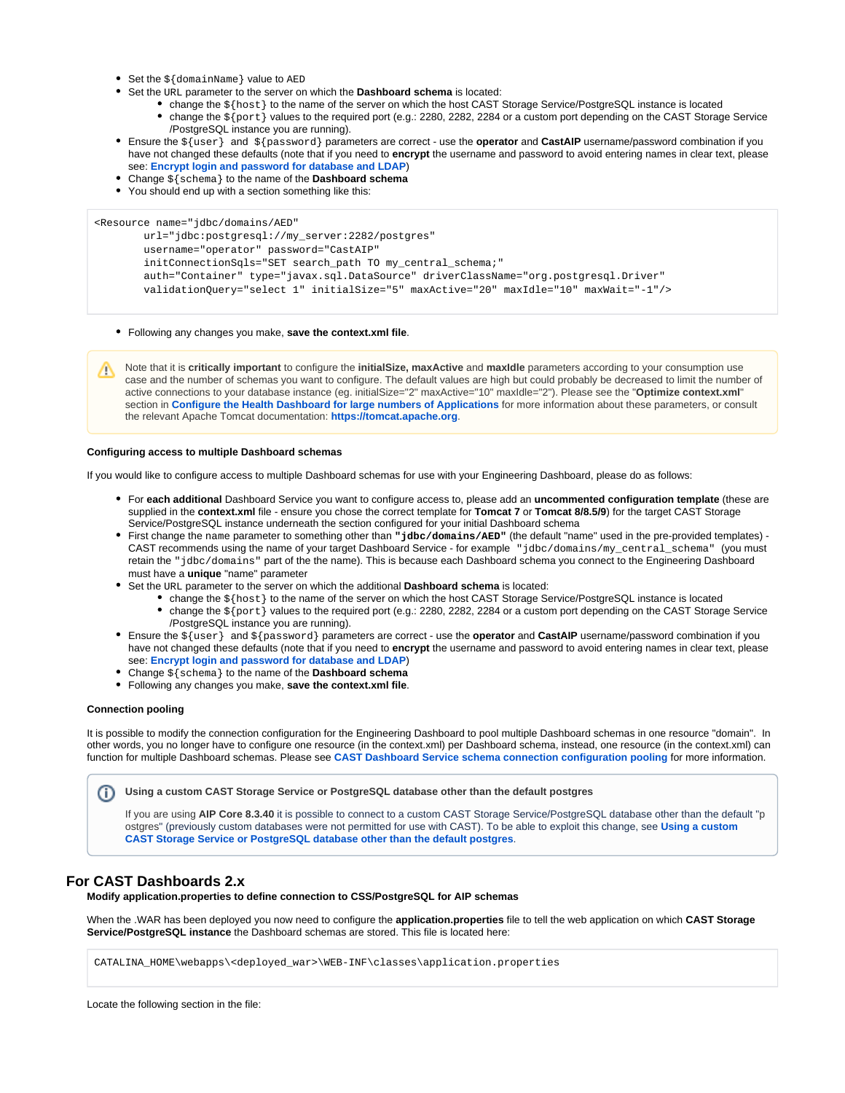- $\bullet$  Set the  $\frac{1}{2}$  domainName } value to AED
- Set the URL parameter to the server on which the **Dashboard schema** is located:
	- change the \${host} to the name of the server on which the host CAST Storage Service/PostgreSQL instance is located
		- change the \${port} values to the required port (e.g.: 2280, 2282, 2284 or a custom port depending on the CAST Storage Service /PostgreSQL instance you are running).
- Ensure the \${user} and \${password} parameters are correct use the **operator** and **CastAIP** username/password combination if you have not changed these defaults (note that if you need to **encrypt** the username and password to avoid entering names in clear text, please see: **[Encrypt login and password for database and LDAP](https://doc.castsoftware.com/display/DASHBOARDS/Encrypt+login+and+password+for+database+and+LDAP)**)
- Change \${schema} to the name of the **Dashboard schema**
- You should end up with a section something like this:

<Resource name="jdbc/domains/AED"

```
 url="jdbc:postgresql://my_server:2282/postgres"
 username="operator" password="CastAIP"
initConnectionSqls="SET search path TO my central schema;"
 auth="Container" type="javax.sql.DataSource" driverClassName="org.postgresql.Driver"
 validationQuery="select 1" initialSize="5" maxActive="20" maxIdle="10" maxWait="-1"/>
```
Following any changes you make, **save the context.xml file**.

Note that it is **critically important** to configure the **initialSize, maxActive** and **maxIdle** parameters according to your consumption use case and the number of schemas you want to configure. The default values are high but could probably be decreased to limit the number of active connections to your database instance (eg. initialSize="2" maxActive="10" maxIdle="2"). Please see the "**Optimize context.xml**" section in **[Configure the Health Dashboard for large numbers of Applications](https://doc.castsoftware.com/display/DASHBOARDS/Configure+the+Health+Dashboard+for+large+numbers+of+Applications)** for more information about these parameters, or consult the relevant Apache Tomcat documentation: **<https://tomcat.apache.org>**.

### **Configuring access to multiple Dashboard schemas**

If you would like to configure access to multiple Dashboard schemas for use with your Engineering Dashboard, please do as follows:

- For **each additional** Dashboard Service you want to configure access to, please add an **uncommented configuration template** (these are supplied in the **context.xml** file - ensure you chose the correct template for **Tomcat 7** or **Tomcat 8/8.5/9**) for the target CAST Storage Service/PostgreSQL instance underneath the section configured for your initial Dashboard schema
- First change the name parameter to something other than **"jdbc/domains/AED"** (the default "name" used in the pre-provided templates) CAST recommends using the name of your target Dashboard Service - for example "jdbc/domains/my\_central\_schema" (you must retain the "jdbc/domains" part of the the name). This is because each Dashboard schema you connect to the Engineering Dashboard must have a **unique** "name" parameter
- Set the URL parameter to the server on which the additional **Dashboard schema** is located:
	- change the  $$$ {host} to the name of the server on which the host CAST Storage Service/PostgreSQL instance is located
	- change the \${port} values to the required port (e.g.: 2280, 2282, 2284 or a custom port depending on the CAST Storage Service /PostgreSQL instance you are running).
- Ensure the \${user} and \${password} parameters are correct use the **operator** and **CastAIP** username/password combination if you have not changed these defaults (note that if you need to **encrypt** the username and password to avoid entering names in clear text, please see: **[Encrypt login and password for database and LDAP](https://doc.castsoftware.com/display/DASHBOARDS/Encrypt+login+and+password+for+database+and+LDAP)**)
- Change \${schema} to the name of the **Dashboard schema**
- Following any changes you make, **save the context.xml file**.

### **Connection pooling**

It is possible to modify the connection configuration for the Engineering Dashboard to pool multiple Dashboard schemas in one resource "domain". In other words, you no longer have to configure one resource (in the context.xml) per Dashboard schema, instead, one resource (in the context.xml) can function for multiple Dashboard schemas. Please see **[CAST Dashboard Service schema connection configuration pooling](https://doc.castsoftware.com/display/DASHBOARDS/CAST+Dashboard+Service+schema+connection+configuration+pooling)** for more information.

**Using a custom CAST Storage Service or PostgreSQL database other than the default postgres** (i)

If you are using **AIP Core 8.3.40** it is possible to connect to a custom CAST Storage Service/PostgreSQL database other than the default "p ostgres" (previously custom databases were not permitted for use with CAST). To be able to exploit this change, see **[Using a custom](https://doc.castsoftware.com/display/STORAGE/Using+a+custom+CAST+Storage+Service+or+PostgreSQL+database+other+than+the+default+postgres)  [CAST Storage Service or PostgreSQL database other than the default postgres](https://doc.castsoftware.com/display/STORAGE/Using+a+custom+CAST+Storage+Service+or+PostgreSQL+database+other+than+the+default+postgres)**.

### <span id="page-5-0"></span>**For CAST Dashboards 2.x**

**Modify application.properties to define connection to CSS/PostgreSQL for AIP schemas**

When the .WAR has been deployed you now need to configure the **application.properties** file to tell the web application on which **CAST Storage Service/PostgreSQL instance** the Dashboard schemas are stored. This file is located here:

CATALINA\_HOME\webapps\<deployed\_war>\WEB-INF\classes\application.properties

Locate the following section in the file: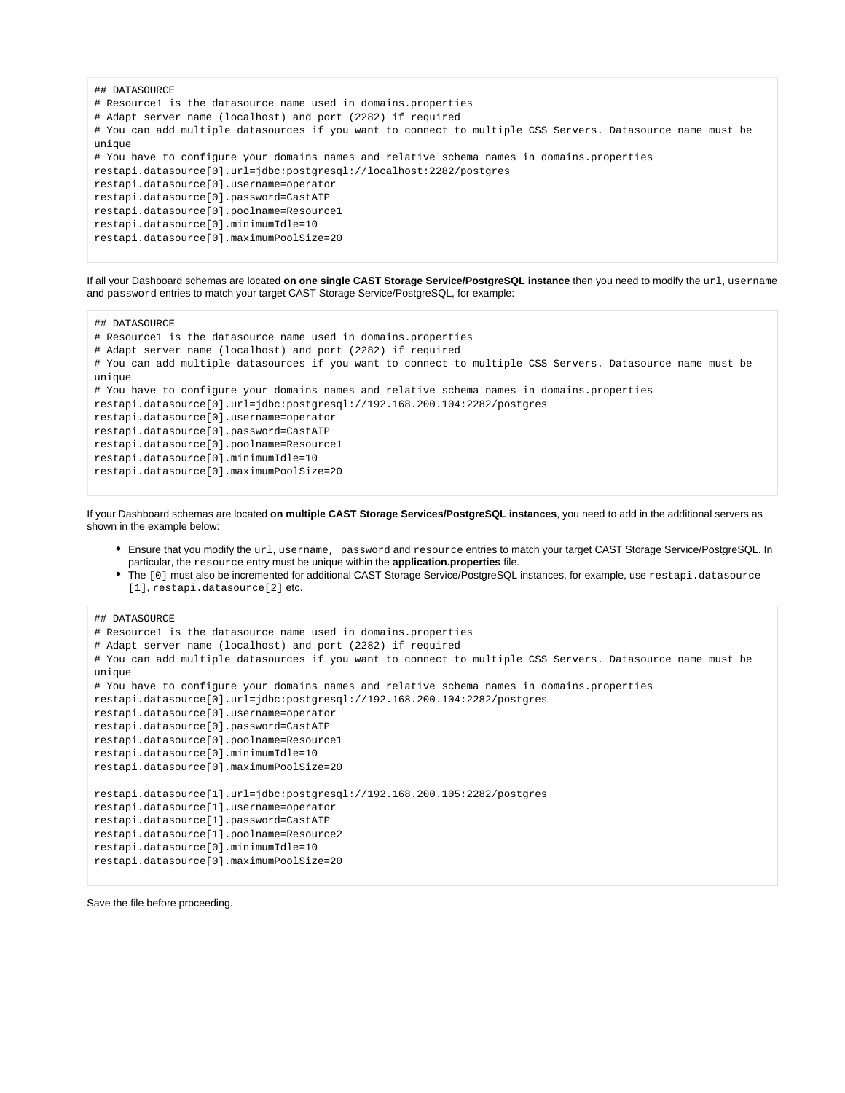```
## DATASOURCE
# Resource1 is the datasource name used in domains.properties
# Adapt server name (localhost) and port (2282) if required
# You can add multiple datasources if you want to connect to multiple CSS Servers. Datasource name must be 
unique
# You have to configure your domains names and relative schema names in domains.properties
restapi.datasource[0].url=jdbc:postgresql://localhost:2282/postgres
restapi.datasource[0].username=operator
restapi.datasource[0].password=CastAIP
restapi.datasource[0].poolname=Resource1
restapi.datasource[0].minimumIdle=10
restapi.datasource[0].maximumPoolSize=20
```
If all your Dashboard schemas are located **on one single CAST Storage Service/PostgreSQL instance** then you need to modify the url, username and password entries to match your target CAST Storage Service/PostgreSQL, for example:

```
## DATASOURCE
# Resource1 is the datasource name used in domains.properties
# Adapt server name (localhost) and port (2282) if required
# You can add multiple datasources if you want to connect to multiple CSS Servers. Datasource name must be 
unique
# You have to configure your domains names and relative schema names in domains.properties
restapi.datasource[0].url=jdbc:postgresql://192.168.200.104:2282/postgres
restapi.datasource[0].username=operator
restapi.datasource[0].password=CastAIP
restapi.datasource[0].poolname=Resource1
restapi.datasource[0].minimumIdle=10
restapi.datasource[0].maximumPoolSize=20
```
If your Dashboard schemas are located **on multiple CAST Storage Services/PostgreSQL instances**, you need to add in the additional servers as shown in the example below:

- Ensure that you modify the url, username, password and resource entries to match your target CAST Storage Service/PostgreSQL. In particular, the resource entry must be unique within the **application.properties** file.
- The [0] must also be incremented for additional CAST Storage Service/PostgreSQL instances, for example, use restapi.datasource [1], restapi.datasource[2] etc.

```
## DATASOURCE
# Resource1 is the datasource name used in domains.properties
# Adapt server name (localhost) and port (2282) if required
# You can add multiple datasources if you want to connect to multiple CSS Servers. Datasource name must be 
unique
# You have to configure your domains names and relative schema names in domains.properties
restapi.datasource[0].url=jdbc:postgresql://192.168.200.104:2282/postgres
restapi.datasource[0].username=operator
restapi.datasource[0].password=CastAIP
restapi.datasource[0].poolname=Resource1
restapi.datasource[0].minimumIdle=10
restapi.datasource[0].maximumPoolSize=20
restapi.datasource[1].url=jdbc:postgresql://192.168.200.105:2282/postgres
restapi.datasource[1].username=operator
restapi.datasource[1].password=CastAIP
restapi.datasource[1].poolname=Resource2
restapi.datasource[0].minimumIdle=10
restapi.datasource[0].maximumPoolSize=20
```
Save the file before proceeding.

ത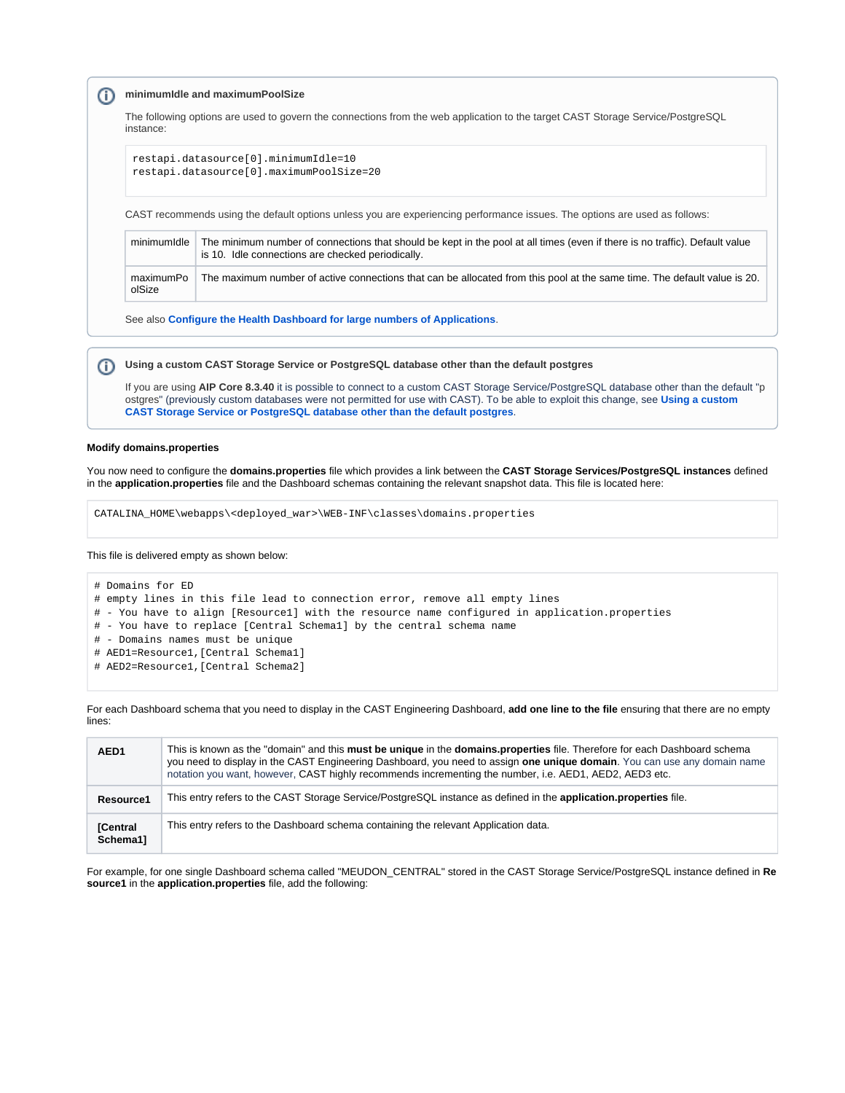#### **minimumIdle and maximumPoolSize** (i)

The following options are used to govern the connections from the web application to the target CAST Storage Service/PostgreSQL instance:

restapi.datasource[0].minimumIdle=10 restapi.datasource[0].maximumPoolSize=20

CAST recommends using the default options unless you are experiencing performance issues. The options are used as follows:

| minimumIdle         | The minimum number of connections that should be kept in the pool at all times (even if there is no traffic). Default value<br>is 10. Idle connections are checked periodically. |
|---------------------|----------------------------------------------------------------------------------------------------------------------------------------------------------------------------------|
| maximumPo<br>olSize | The maximum number of active connections that can be allocated from this pool at the same time. The default value is 20.                                                         |

See also **[Configure the Health Dashboard for large numbers of Applications](https://doc.castsoftware.com/display/DASHBOARDS/Configure+the+Health+Dashboard+for+large+numbers+of+Applications)**.

#### **Using a custom CAST Storage Service or PostgreSQL database other than the default postgres** (i)

If you are using **AIP Core 8.3.40** it is possible to connect to a custom CAST Storage Service/PostgreSQL database other than the default "p ostgres" (previously custom databases were not permitted for use with CAST). To be able to exploit this change, see **[Using a custom](https://doc.castsoftware.com/display/STORAGE/Using+a+custom+CAST+Storage+Service+or+PostgreSQL+database+other+than+the+default+postgres)  [CAST Storage Service or PostgreSQL database other than the default postgres](https://doc.castsoftware.com/display/STORAGE/Using+a+custom+CAST+Storage+Service+or+PostgreSQL+database+other+than+the+default+postgres)**.

### **Modify domains.properties**

You now need to configure the **domains.properties** file which provides a link between the **CAST Storage Services/PostgreSQL instances** defined in the **application.properties** file and the Dashboard schemas containing the relevant snapshot data. This file is located here:

CATALINA\_HOME\webapps\<deployed\_war>\WEB-INF\classes\domains.properties

This file is delivered empty as shown below:

# Domains for ED # empty lines in this file lead to connection error, remove all empty lines # - You have to align [Resource1] with the resource name configured in application.properties # - You have to replace [Central Schema1] by the central schema name # - Domains names must be unique # AED1=Resource1,[Central Schema1] # AED2=Resource1,[Central Schema2]

For each Dashboard schema that you need to display in the CAST Engineering Dashboard, **add one line to the file** ensuring that there are no empty lines:

| AED <sub>1</sub>                                                                                            | This is known as the "domain" and this must be unique in the domains.properties file. Therefore for each Dashboard schema<br>you need to display in the CAST Engineering Dashboard, you need to assign one unique domain. You can use any domain name<br>notation you want, however, CAST highly recommends incrementing the number, i.e. AED1, AED2, AED3 etc. |
|-------------------------------------------------------------------------------------------------------------|-----------------------------------------------------------------------------------------------------------------------------------------------------------------------------------------------------------------------------------------------------------------------------------------------------------------------------------------------------------------|
| Resource1                                                                                                   | This entry refers to the CAST Storage Service/PostgreSQL instance as defined in the application.properties file.                                                                                                                                                                                                                                                |
| This entry refers to the Dashboard schema containing the relevant Application data.<br>[Central<br>Schema1] |                                                                                                                                                                                                                                                                                                                                                                 |

For example, for one single Dashboard schema called "MEUDON\_CENTRAL" stored in the CAST Storage Service/PostgreSQL instance defined in **Re source1** in the **application.properties** file, add the following: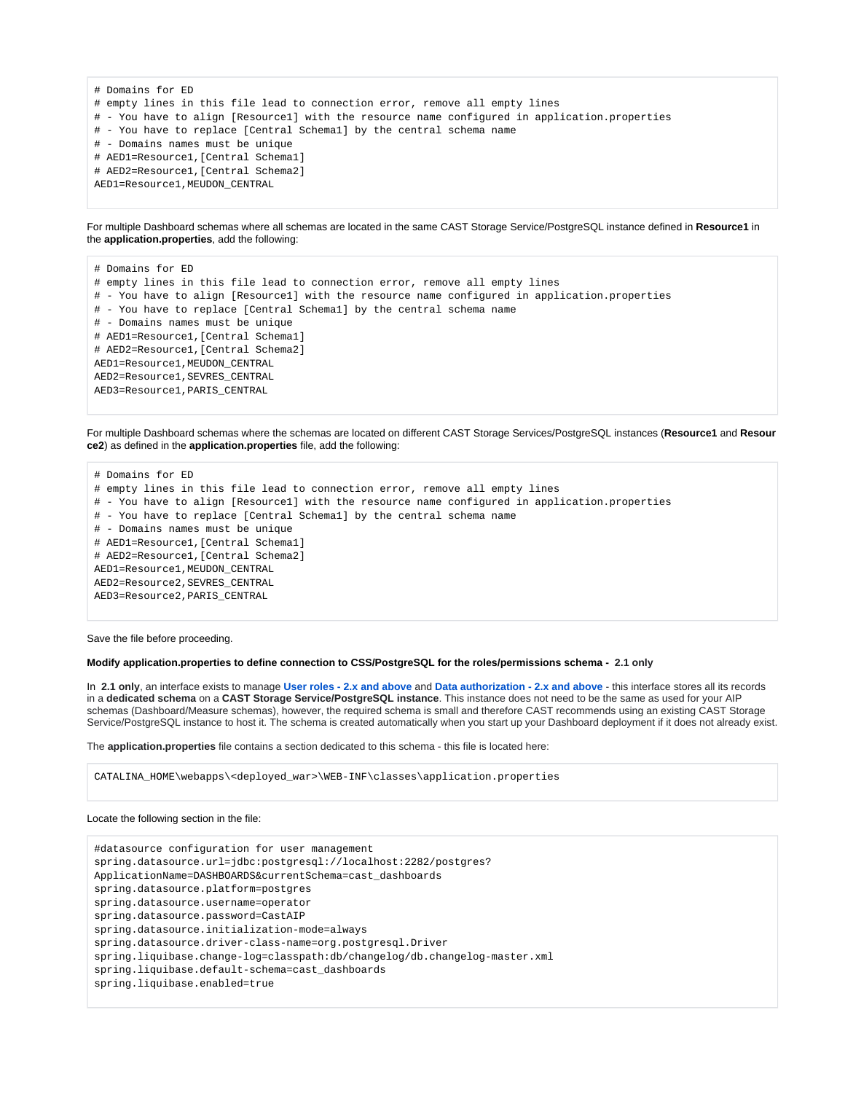```
# Domains for ED
# empty lines in this file lead to connection error, remove all empty lines
# - You have to align [Resource1] with the resource name configured in application.properties
# - You have to replace [Central Schema1] by the central schema name
# - Domains names must be unique
# AED1=Resource1,[Central Schema1]
# AED2=Resource1,[Central Schema2]
AED1=Resource1,MEUDON_CENTRAL
```
For multiple Dashboard schemas where all schemas are located in the same CAST Storage Service/PostgreSQL instance defined in **Resource1** in the **application.properties**, add the following:

# Domains for ED # empty lines in this file lead to connection error, remove all empty lines # - You have to align [Resource1] with the resource name configured in application.properties # - You have to replace [Central Schema1] by the central schema name # - Domains names must be unique # AED1=Resource1,[Central Schema1] # AED2=Resource1,[Central Schema2] AED1=Resource1,MEUDON\_CENTRAL AED2=Resource1, SEVRES\_CENTRAL AED3=Resource1,PARIS\_CENTRAL

For multiple Dashboard schemas where the schemas are located on different CAST Storage Services/PostgreSQL instances (**Resource1** and **Resour ce2**) as defined in the **application.properties** file, add the following:

# Domains for ED # empty lines in this file lead to connection error, remove all empty lines # - You have to align [Resource1] with the resource name configured in application.properties # - You have to replace [Central Schema1] by the central schema name # - Domains names must be unique # AED1=Resource1,[Central Schema1] # AED2=Resource1,[Central Schema2] AED1=Resource1,MEUDON\_CENTRAL AED2=Resource2,SEVRES\_CENTRAL AED3=Resource2,PARIS\_CENTRAL

Save the file before proceeding.

### **Modify application.properties to define connection to CSS/PostgreSQL for the roles/permissions schema - 2.1 only**

In **2.1 only**, an interface exists to manage **[User roles - 2.x and above](https://doc.castsoftware.com/display/DASHBOARDS/User+roles+-+2.x+and+above)** and **[Data authorization - 2.x and above](https://doc.castsoftware.com/display/DASHBOARDS/Data+authorization+-+2.x+and+above)** - this interface stores all its records in a **dedicated schema** on a **CAST Storage Service/PostgreSQL instance**. This instance does not need to be the same as used for your AIP schemas (Dashboard/Measure schemas), however, the required schema is small and therefore CAST recommends using an existing CAST Storage Service/PostgreSQL instance to host it. The schema is created automatically when you start up your Dashboard deployment if it does not already exist.

The **application.properties** file contains a section dedicated to this schema - this file is located here:

CATALINA\_HOME\webapps\<deployed\_war>\WEB-INF\classes\application.properties

### Locate the following section in the file:

#datasource configuration for user management spring.datasource.url=jdbc:postgresql://localhost:2282/postgres? ApplicationName=DASHBOARDS&currentSchema=cast\_dashboards spring.datasource.platform=postgres spring.datasource.username=operator spring.datasource.password=CastAIP spring.datasource.initialization-mode=always spring.datasource.driver-class-name=org.postgresql.Driver spring.liquibase.change-log=classpath:db/changelog/db.changelog-master.xml spring.liquibase.default-schema=cast\_dashboards spring.liquibase.enabled=true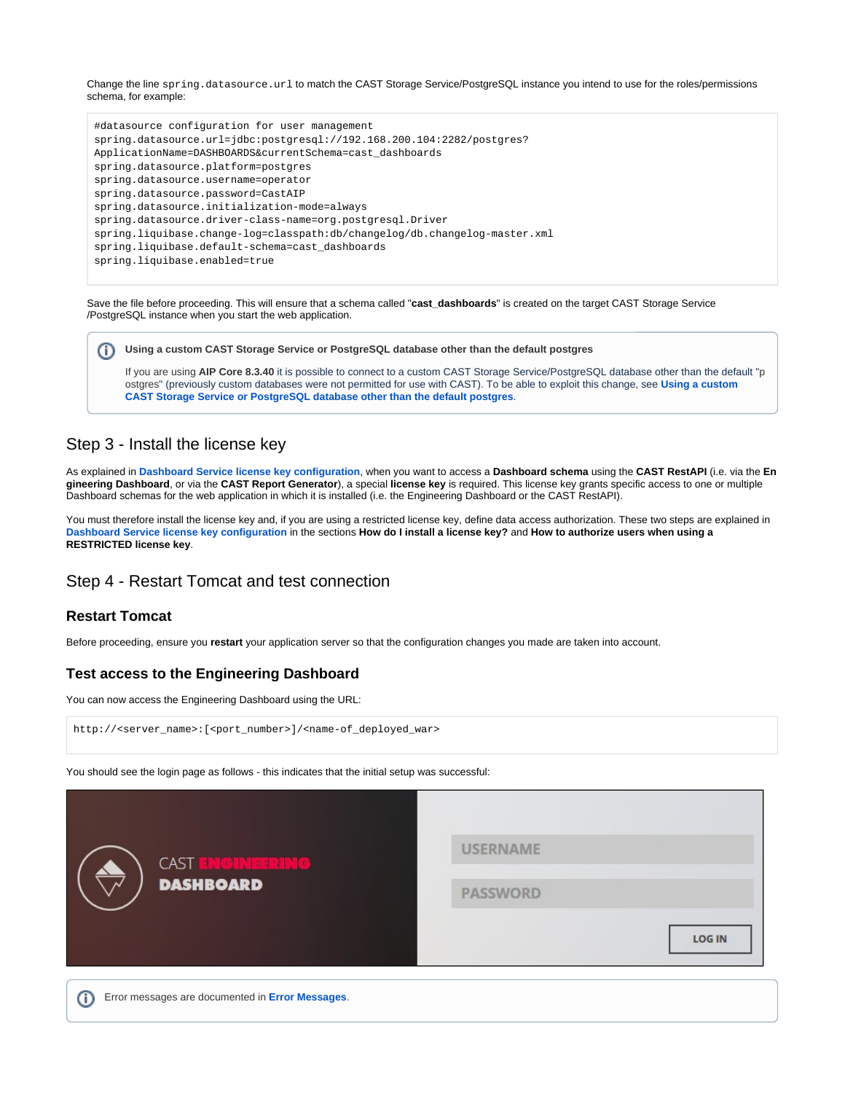Change the line spring.datasource.url to match the CAST Storage Service/PostgreSQL instance you intend to use for the roles/permissions schema, for example:

#datasource configuration for user management spring.datasource.url=jdbc:postgresql://192.168.200.104:2282/postgres? ApplicationName=DASHBOARDS&currentSchema=cast\_dashboards spring.datasource.platform=postgres spring.datasource.username=operator spring.datasource.password=CastAIP spring.datasource.initialization-mode=always spring.datasource.driver-class-name=org.postgresql.Driver spring.liquibase.change-log=classpath:db/changelog/db.changelog-master.xml spring.liquibase.default-schema=cast\_dashboards spring.liquibase.enabled=true

Save the file before proceeding. This will ensure that a schema called "**cast\_dashboards**" is created on the target CAST Storage Service /PostgreSQL instance when you start the web application.

| <b>Dumbling a custom CAST Storage Service or PostgreSQL database other than the default postgres</b> |  |  |  |  |  |
|------------------------------------------------------------------------------------------------------|--|--|--|--|--|
|------------------------------------------------------------------------------------------------------|--|--|--|--|--|

If you are using **AIP Core 8.3.40** it is possible to connect to a custom CAST Storage Service/PostgreSQL database other than the default "p ostgres" (previously custom databases were not permitted for use with CAST). To be able to exploit this change, see **[Using a custom](https://doc.castsoftware.com/display/STORAGE/Using+a+custom+CAST+Storage+Service+or+PostgreSQL+database+other+than+the+default+postgres)  [CAST Storage Service or PostgreSQL database other than the default postgres](https://doc.castsoftware.com/display/STORAGE/Using+a+custom+CAST+Storage+Service+or+PostgreSQL+database+other+than+the+default+postgres)**.

## <span id="page-9-0"></span>Step 3 - Install the license key

As explained in **[Dashboard Service license key configuration](https://doc.castsoftware.com/display/DASHBOARDS/Dashboard+Service+license+key+configuration)**, when you want to access a **Dashboard schema** using the **CAST RestAPI** (i.e. via the **En gineering Dashboard**, or via the **CAST Report Generator**), a special **license key** is required. This license key grants specific access to one or multiple Dashboard schemas for the web application in which it is installed (i.e. the Engineering Dashboard or the CAST RestAPI).

You must therefore install the license key and, if you are using a restricted license key, define data access authorization. These two steps are explained in **[Dashboard Service license key configuration](https://doc.castsoftware.com/display/DASHBOARDS/Dashboard+Service+license+key+configuration)** in the sections **How do I install a license key?** and **How to authorize users when using a RESTRICTED license key**.

### <span id="page-9-1"></span>Step 4 - Restart Tomcat and test connection

### <span id="page-9-2"></span>**Restart Tomcat**

Before proceeding, ensure you **restart** your application server so that the configuration changes you made are taken into account.

### <span id="page-9-3"></span>**Test access to the Engineering Dashboard**

You can now access the Engineering Dashboard using the URL:

http://<server\_name>:[<port\_number>]/<name-of\_deployed\_war>

You should see the login page as follows - this indicates that the initial setup was successful:

| <b>CAST ENGINEERING</b><br><b>DASHBOARD</b> | <b>USERNAME</b>                  |
|---------------------------------------------|----------------------------------|
|                                             | <b>PASSWORD</b><br><b>LOG IN</b> |

<span id="page-9-4"></span>G) Error messages are documented in **[Error Messages](https://doc.castsoftware.com/display/DASHBOARDS/Error+Messages)**.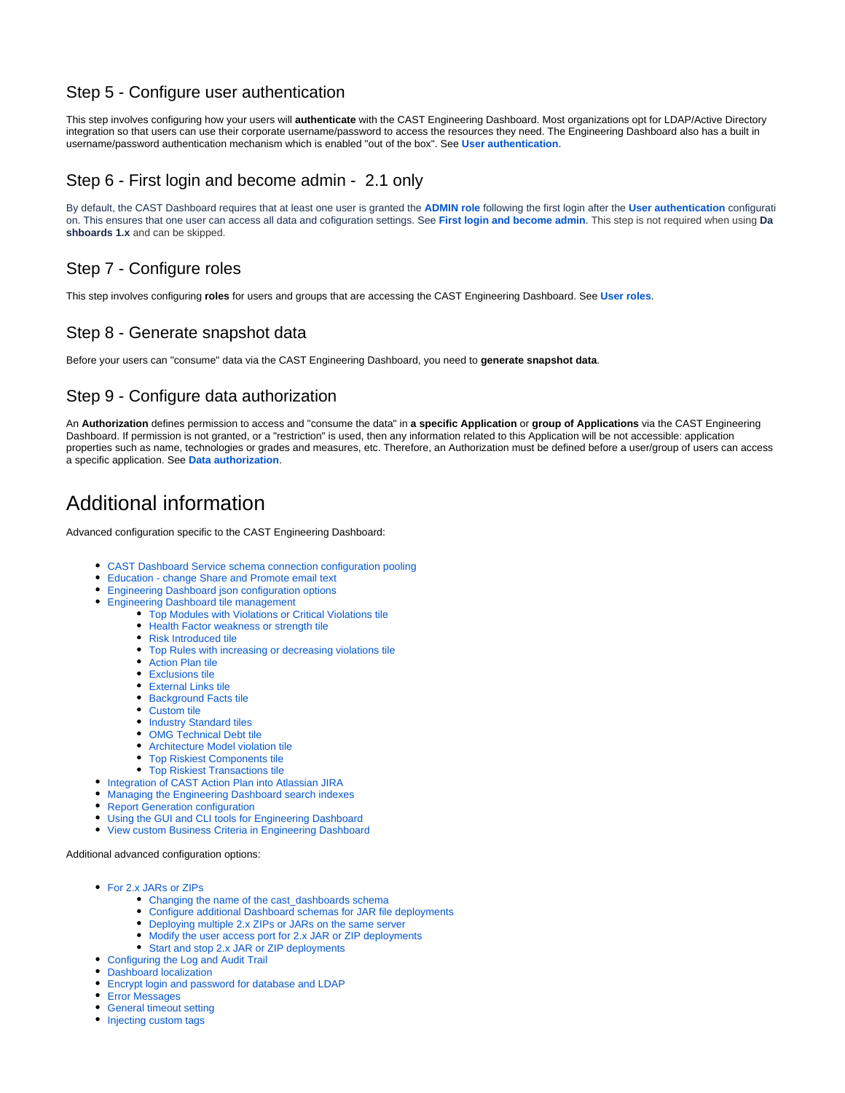## <span id="page-10-5"></span>Step 5 - Configure user authentication

This step involves configuring how your users will **authenticate** with the CAST Engineering Dashboard. Most organizations opt for LDAP/Active Directory integration so that users can use their corporate username/password to access the resources they need. The Engineering Dashboard also has a built in username/password authentication mechanism which is enabled "out of the box". See **[User authentication](https://doc.castsoftware.com/display/DASHBOARDS/User+authentication)**.

## <span id="page-10-0"></span>Step 6 - First login and become admin - 2.1 only

By default, the CAST Dashboard requires that at least one user is granted the **[ADMIN role](https://doc.castsoftware.com/display/DASHBOARDS/User+roles)** following the first login after the **[User authentication](https://doc.castsoftware.com/display/DASHBOARDS/User+authentication)** configurati on. This ensures that one user can access all data and cofiguration settings. See **[First login and become admin](https://doc.castsoftware.com/display/DASHBOARDS/First+login+and+become+admin)**. This step is not required when using **Da shboards 1.x** and can be skipped.

## <span id="page-10-1"></span>Step 7 - Configure roles

This step involves configuring **roles** for users and groups that are accessing the CAST Engineering Dashboard. See **[User roles](https://doc.castsoftware.com/display/DASHBOARDS/User+roles)**.

## <span id="page-10-2"></span>Step 8 - Generate snapshot data

Before your users can "consume" data via the CAST Engineering Dashboard, you need to **generate snapshot data**.

# <span id="page-10-3"></span>Step 9 - Configure data authorization

An **Authorization** defines permission to access and "consume the data" in **a specific Application** or **group of Applications** via the CAST Engineering Dashboard. If permission is not granted, or a "restriction" is used, then any information related to this Application will be not accessible: application properties such as name, technologies or grades and measures, etc. Therefore, an Authorization must be defined before a user/group of users can access a specific application. See **[Data authorization](https://doc.castsoftware.com/display/DASHBOARDS/Data+authorization)**.

# <span id="page-10-4"></span>Additional information

Advanced configuration specific to the CAST Engineering Dashboard:

- [CAST Dashboard Service schema connection configuration pooling](https://doc.castsoftware.com/display/DASHBOARDS/CAST+Dashboard+Service+schema+connection+configuration+pooling)
- [Education change Share and Promote email text](https://doc.castsoftware.com/display/DASHBOARDS/Education+-+change+Share+and+Promote+email+text)
	- [Engineering Dashboard json configuration options](https://doc.castsoftware.com/display/DASHBOARDS/Engineering+Dashboard+json+configuration+options)
- [Engineering Dashboard tile management](https://doc.castsoftware.com/display/DASHBOARDS/Engineering+Dashboard+tile+management)
	- [Top Modules with Violations or Critical Violations tile](https://doc.castsoftware.com/display/DASHBOARDS/Top+Modules+with+Violations+or+Critical+Violations+tile)
	- [Health Factor weakness or strength tile](https://doc.castsoftware.com/display/DASHBOARDS/Health+Factor+weakness+or+strength+tile)
	- [Risk Introduced tile](https://doc.castsoftware.com/display/DASHBOARDS/Risk+Introduced+tile)
	- [Top Rules with increasing or decreasing violations tile](https://doc.castsoftware.com/display/DASHBOARDS/Top+Rules+with+increasing+or+decreasing+violations+tile)
	- [Action Plan tile](https://doc.castsoftware.com/display/DASHBOARDS/Action+Plan+tile)
	- [Exclusions tile](https://doc.castsoftware.com/display/DASHBOARDS/Exclusions+tile)
	- [External Links tile](https://doc.castsoftware.com/display/DASHBOARDS/External+Links+tile)
	- [Background Facts tile](https://doc.castsoftware.com/display/DASHBOARDS/Background+Facts+tile)
	- [Custom tile](https://doc.castsoftware.com/display/DASHBOARDS/Custom+tile)
	- [Industry Standard tiles](https://doc.castsoftware.com/display/DASHBOARDS/Industry+Standard+tiles)
	- [OMG Technical Debt tile](https://doc.castsoftware.com/display/DASHBOARDS/OMG+Technical+Debt+tile)
	- [Architecture Model violation tile](https://doc.castsoftware.com/display/DASHBOARDS/Architecture+Model+violation+tile)
	- [Top Riskiest Components tile](https://doc.castsoftware.com/display/DASHBOARDS/Top+Riskiest+Components+tile)
	- [Top Riskiest Transactions tile](https://doc.castsoftware.com/display/DASHBOARDS/Top+Riskiest+Transactions+tile)
- [Integration of CAST Action Plan into Atlassian JIRA](https://doc.castsoftware.com/display/DASHBOARDS/Integration+of+CAST+Action+Plan+into+Atlassian+JIRA)
- [Managing the Engineering Dashboard search indexes](https://doc.castsoftware.com/display/DASHBOARDS/Managing+the+Engineering+Dashboard+search+indexes)
- [Report Generation configuration](https://doc.castsoftware.com/display/DASHBOARDS/Report+Generation+configuration)
- [Using the GUI and CLI tools for Engineering Dashboard](https://doc.castsoftware.com/display/DASHBOARDS/Using+the+GUI+and+CLI+tools+for+Engineering+Dashboard)
- [View custom Business Criteria in Engineering Dashboard](https://doc.castsoftware.com/display/DASHBOARDS/View+custom+Business+Criteria+in+Engineering+Dashboard)

### Additional advanced configuration options:

- [For 2.x JARs or ZIPs](https://doc.castsoftware.com/display/DASHBOARDS/For+2.x+JARs+or+ZIPs)
	- Changing the name of the cast dashboards schema
	- [Configure additional Dashboard schemas for JAR file deployments](https://doc.castsoftware.com/display/DASHBOARDS/Configure+additional+Dashboard+schemas+for+JAR+file+deployments)
	- [Deploying multiple 2.x ZIPs or JARs on the same server](https://doc.castsoftware.com/display/DASHBOARDS/Deploying+multiple+2.x+ZIPs+or+JARs+on+the+same+server)
	- [Modify the user access port for 2.x JAR or ZIP deployments](https://doc.castsoftware.com/display/DASHBOARDS/Modify+the+user+access+port+for+2.x+JAR+or+ZIP+deployments)
	- [Start and stop 2.x JAR or ZIP deployments](https://doc.castsoftware.com/display/DASHBOARDS/Start+and+stop+2.x+JAR+or+ZIP+deployments)
- [Configuring the Log and Audit Trail](https://doc.castsoftware.com/display/DASHBOARDS/Configuring+the+Log+and+Audit+Trail)
- [Dashboard localization](https://doc.castsoftware.com/display/DASHBOARDS/Dashboard+localization)
- [Encrypt login and password for database and LDAP](https://doc.castsoftware.com/display/DASHBOARDS/Encrypt+login+and+password+for+database+and+LDAP)
- [Error Messages](https://doc.castsoftware.com/display/DASHBOARDS/Error+Messages)
- [General timeout setting](https://doc.castsoftware.com/display/DASHBOARDS/General+timeout+setting)
- [Injecting custom tags](https://doc.castsoftware.com/display/DASHBOARDS/Injecting+custom+tags)